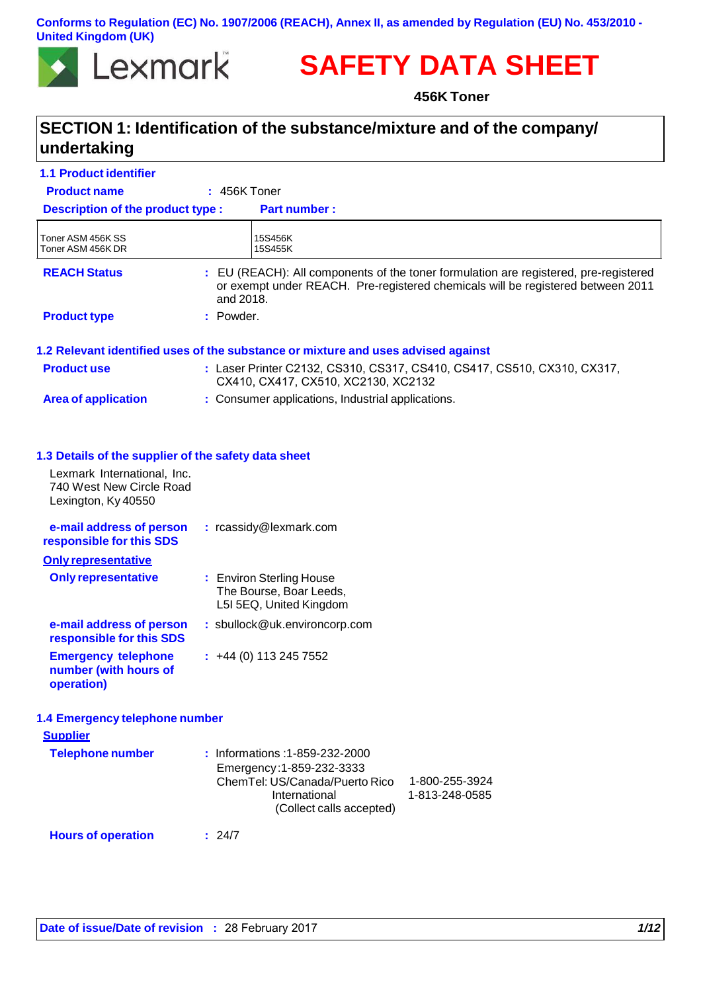### **Conforms to Regulation (EC) No. 1907/2006 (REACH), Annex II, as amended by Regulation (EU) No. 453/2010 - United Kingdom (UK)**



# **SAFETY DATA SHEET**

**456K Toner**

## **SECTION 1: Identification of the substance/mixture and of the company/ undertaking**

| <b>1.1 Product identifier</b>                                                  |                |                                                                                                                                                                                |
|--------------------------------------------------------------------------------|----------------|--------------------------------------------------------------------------------------------------------------------------------------------------------------------------------|
| <b>Product name</b>                                                            | $: 456K$ Toner |                                                                                                                                                                                |
| <b>Description of the product type:</b>                                        |                | <b>Part number:</b>                                                                                                                                                            |
| Toner ASM 456K SS<br>Toner ASM 456K DR                                         |                | 15S456K<br>15S455K                                                                                                                                                             |
| <b>REACH Status</b>                                                            | and 2018.      | : EU (REACH): All components of the toner formulation are registered, pre-registered<br>or exempt under REACH. Pre-registered chemicals will be registered between 2011        |
| <b>Product type</b>                                                            | : Powder.      |                                                                                                                                                                                |
|                                                                                |                | 1.2 Relevant identified uses of the substance or mixture and uses advised against                                                                                              |
| <b>Product use</b>                                                             |                | : Laser Printer C2132, CS310, CS317, CS410, CS417, CS510, CX310, CX317,<br>CX410, CX417, CX510, XC2130, XC2132                                                                 |
| <b>Area of application</b>                                                     |                | : Consumer applications, Industrial applications.                                                                                                                              |
|                                                                                |                |                                                                                                                                                                                |
| 1.3 Details of the supplier of the safety data sheet                           |                |                                                                                                                                                                                |
| Lexmark International, Inc.<br>740 West New Circle Road<br>Lexington, Ky 40550 |                |                                                                                                                                                                                |
| e-mail address of person<br>responsible for this SDS                           |                | : rcassidy@lexmark.com                                                                                                                                                         |
| <b>Only representative</b>                                                     |                |                                                                                                                                                                                |
| <b>Only representative</b>                                                     |                | : Environ Sterling House<br>The Bourse, Boar Leeds,<br>L5I 5EQ, United Kingdom                                                                                                 |
| e-mail address of person<br>responsible for this SDS                           |                | : sbullock@uk.environcorp.com                                                                                                                                                  |
| <b>Emergency telephone</b><br>number (with hours of<br>operation)              |                | $\div$ +44 (0) 113 245 7552                                                                                                                                                    |
| 1.4 Emergency telephone number                                                 |                |                                                                                                                                                                                |
| <b>Supplier</b>                                                                |                |                                                                                                                                                                                |
| <b>Telephone number</b>                                                        |                | : Informations: 1-859-232-2000<br>Emergency: 1-859-232-3333<br>ChemTel: US/Canada/Puerto Rico<br>1-800-255-3924<br>International<br>1-813-248-0585<br>(Collect calls accepted) |
| <b>Hours of operation</b>                                                      | : 24/7         |                                                                                                                                                                                |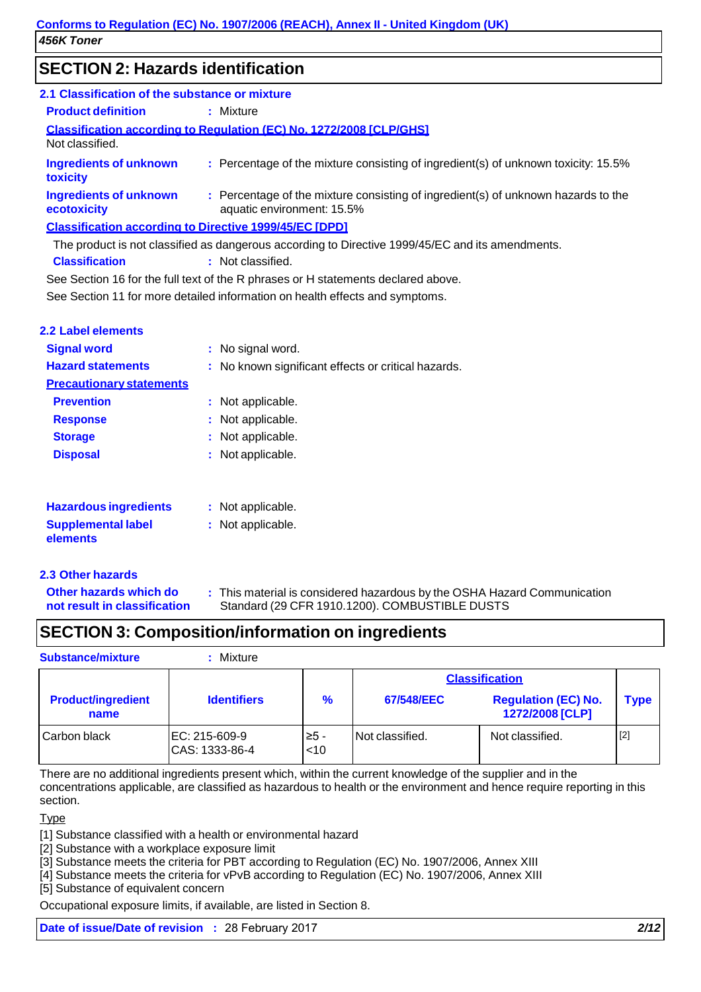## **SECTION 2: Hazards identification**

| 2.1 Classification of the substance or mixture                                                   |                                                                                                                 |  |  |
|--------------------------------------------------------------------------------------------------|-----------------------------------------------------------------------------------------------------------------|--|--|
| <b>Product definition</b>                                                                        | : Mixture                                                                                                       |  |  |
| <b>Classification according to Regulation (EC) No. 1272/2008 [CLP/GHS]</b><br>Not classified.    |                                                                                                                 |  |  |
| Ingredients of unknown<br>toxicity                                                               | : Percentage of the mixture consisting of ingredient(s) of unknown toxicity: 15.5%                              |  |  |
| Ingredients of unknown<br>ecotoxicity                                                            | : Percentage of the mixture consisting of ingredient(s) of unknown hazards to the<br>aquatic environment: 15.5% |  |  |
| <b>Classification according to Directive 1999/45/EC [DPD]</b>                                    |                                                                                                                 |  |  |
| The product is not classified as dangerous according to Directive 1999/45/EC and its amendments. |                                                                                                                 |  |  |
| <b>Classification</b>                                                                            | : Not classified.                                                                                               |  |  |
| See Section 16 for the full text of the R phrases or H statements declared above.                |                                                                                                                 |  |  |

See Section 11 for more detailed information on health effects and symptoms.

| 2.2 Label elements              |                                                     |
|---------------------------------|-----------------------------------------------------|
| <b>Signal word</b>              | : No signal word.                                   |
| <b>Hazard statements</b>        | : No known significant effects or critical hazards. |
| <b>Precautionary statements</b> |                                                     |
| <b>Prevention</b>               | : Not applicable.                                   |
| <b>Response</b>                 | : Not applicable.                                   |
| <b>Storage</b>                  | : Not applicable.                                   |
| <b>Disposal</b>                 | : Not applicable.                                   |
| <b>Hazardous ingredients</b>    | : Not applicable.                                   |
| <b>Supplemental label</b>       | : Not applicable.                                   |

### **2.3 Other hazards**

**elements**

**Other hazards which do not result in classification**

**:** This material is considered hazardous by the OSHA Hazard Communication Standard (29 CFR 1910.1200). COMBUSTIBLE DUSTS

## **SECTION 3: Composition/information on ingredients**

**Substance/mixture :** Mixture

| <b>Substance/mixture</b> |  |
|--------------------------|--|

|                                   |                                 |                | <b>Classification</b> |                                               |             |
|-----------------------------------|---------------------------------|----------------|-----------------------|-----------------------------------------------|-------------|
| <b>Product/ingredient</b><br>name | <b>Identifiers</b>              | $\frac{9}{6}$  | 67/548/EEC            | <b>Regulation (EC) No.</b><br>1272/2008 [CLP] | <b>Type</b> |
| Carbon black                      | EC: 215-609-9<br>CAS: 1333-86-4 | ≥5 -<br>$<$ 10 | Not classified.       | Not classified.                               | $[2]$       |

There are no additional ingredients present which, within the current knowledge of the supplier and in the concentrations applicable, are classified as hazardous to health or the environment and hence require reporting in this section.

### **Type**

[1] Substance classified with a health or environmental hazard

[2] Substance with a workplace exposure limit

[3] Substance meets the criteria for PBT according to Regulation (EC) No. 1907/2006, Annex XIII

[4] Substance meets the criteria for vPvB according to Regulation (EC) No. 1907/2006, Annex XIII

[5] Substance of equivalent concern

Occupational exposure limits, if available, are listed in Section 8.

**Date of issue/Date of revision :** 28 February 2017 *2/12*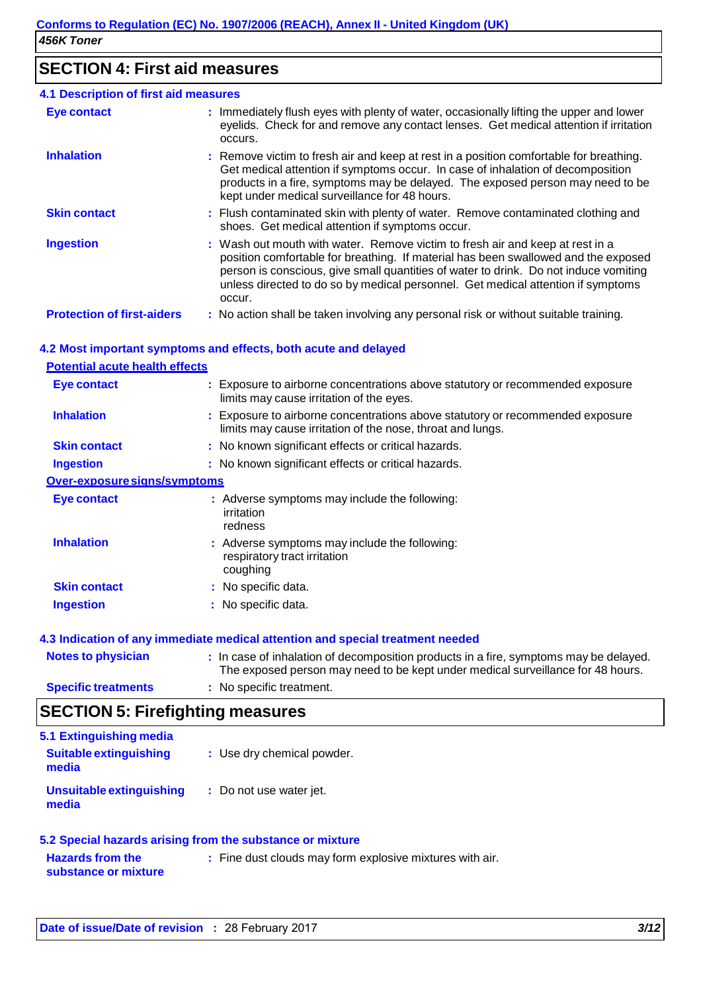## **SECTION 4: First aid measures**

| <b>4.1 Description of first aid measures</b> |                                                                                                                                                                                                                                                                                                                                                           |  |  |
|----------------------------------------------|-----------------------------------------------------------------------------------------------------------------------------------------------------------------------------------------------------------------------------------------------------------------------------------------------------------------------------------------------------------|--|--|
| <b>Eye contact</b>                           | : Immediately flush eyes with plenty of water, occasionally lifting the upper and lower<br>eyelids. Check for and remove any contact lenses. Get medical attention if irritation<br>occurs.                                                                                                                                                               |  |  |
| <b>Inhalation</b>                            | : Remove victim to fresh air and keep at rest in a position comfortable for breathing.<br>Get medical attention if symptoms occur. In case of inhalation of decomposition<br>products in a fire, symptoms may be delayed. The exposed person may need to be<br>kept under medical surveillance for 48 hours.                                              |  |  |
| <b>Skin contact</b>                          | : Flush contaminated skin with plenty of water. Remove contaminated clothing and<br>shoes. Get medical attention if symptoms occur.                                                                                                                                                                                                                       |  |  |
| <b>Ingestion</b>                             | : Wash out mouth with water. Remove victim to fresh air and keep at rest in a<br>position comfortable for breathing. If material has been swallowed and the exposed<br>person is conscious, give small quantities of water to drink. Do not induce vomiting<br>unless directed to do so by medical personnel. Get medical attention if symptoms<br>occur. |  |  |
| <b>Protection of first-aiders</b>            | : No action shall be taken involving any personal risk or without suitable training.                                                                                                                                                                                                                                                                      |  |  |

### **4.2 Most important symptoms and effects, both acute and delayed**

### **Potential acute health effects Eye contact :** Exposure to airborne concentrations above statutory or recommended exposure limits may cause irritation of the eyes. **Inhalation : Exposure to airborne concentrations above statutory or recommended exposure** limits may cause irritation of the nose, throat and lungs. **Skin contact : No known significant effects or critical hazards. Ingestion :** No known significant effects or critical hazards. **Over-exposure signs/symptoms Eye contact : Adverse symptoms may include the following:** irritation redness **Inhalation Skin contact Ingestion :** Adverse symptoms may include the following: respiratory tract irritation coughing **:** No specific data. **:** No specific data. **4.3 Indication of any immediate medical attention and special treatment needed**

| <b>Notes to physician</b>  | : In case of inhalation of decomposition products in a fire, symptoms may be delayed.<br>The exposed person may need to be kept under medical surveillance for 48 hours. |
|----------------------------|--------------------------------------------------------------------------------------------------------------------------------------------------------------------------|
| <b>Specific treatments</b> | : No specific treatment.                                                                                                                                                 |

## **SECTION 5: Firefighting measures**

| 5.1 Extinguishing media<br><b>Suitable extinguishing</b><br>media | : Use dry chemical powder. |
|-------------------------------------------------------------------|----------------------------|
| Unsuitable extinguishing<br>media                                 | : Do not use water jet.    |

#### **5.2 Special hazards arising from the substance or mixture Hazards from the substance or mixture :** Fine dust clouds may form explosive mixtures with air.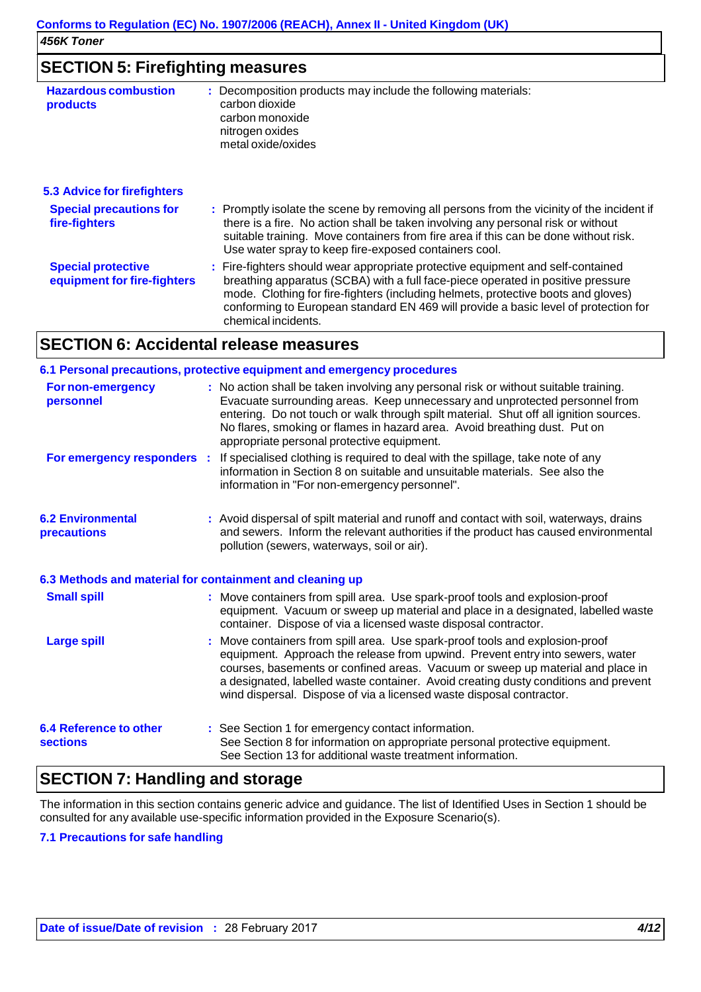| <b>SECTION 5: Firefighting measures</b>                  |                                                                                                                                                                                                                                                                                                                                                                       |  |  |
|----------------------------------------------------------|-----------------------------------------------------------------------------------------------------------------------------------------------------------------------------------------------------------------------------------------------------------------------------------------------------------------------------------------------------------------------|--|--|
| <b>Hazardous combustion</b><br>products                  | : Decomposition products may include the following materials:<br>carbon dioxide<br>carbon monoxide<br>nitrogen oxides<br>metal oxide/oxides                                                                                                                                                                                                                           |  |  |
| 5.3 Advice for firefighters                              |                                                                                                                                                                                                                                                                                                                                                                       |  |  |
| <b>Special precautions for</b><br>fire-fighters          | : Promptly isolate the scene by removing all persons from the vicinity of the incident if<br>there is a fire. No action shall be taken involving any personal risk or without<br>suitable training. Move containers from fire area if this can be done without risk.<br>Use water spray to keep fire-exposed containers cool.                                         |  |  |
| <b>Special protective</b><br>equipment for fire-fighters | : Fire-fighters should wear appropriate protective equipment and self-contained<br>breathing apparatus (SCBA) with a full face-piece operated in positive pressure<br>mode. Clothing for fire-fighters (including helmets, protective boots and gloves)<br>conforming to European standard EN 469 will provide a basic level of protection for<br>chemical incidents. |  |  |

## **SECTION 6: Accidental release measures**

|                                                          |  | 6.1 Personal precautions, protective equipment and emergency procedures                                                                                                                                                                                                                                                                                                                                        |  |
|----------------------------------------------------------|--|----------------------------------------------------------------------------------------------------------------------------------------------------------------------------------------------------------------------------------------------------------------------------------------------------------------------------------------------------------------------------------------------------------------|--|
| <b>For non-emergency</b><br>personnel                    |  | : No action shall be taken involving any personal risk or without suitable training.<br>Evacuate surrounding areas. Keep unnecessary and unprotected personnel from<br>entering. Do not touch or walk through spilt material. Shut off all ignition sources.<br>No flares, smoking or flames in hazard area. Avoid breathing dust. Put on<br>appropriate personal protective equipment.                        |  |
| For emergency responders :                               |  | If specialised clothing is required to deal with the spillage, take note of any<br>information in Section 8 on suitable and unsuitable materials. See also the<br>information in "For non-emergency personnel".                                                                                                                                                                                                |  |
| <b>6.2 Environmental</b><br>precautions                  |  | : Avoid dispersal of spilt material and runoff and contact with soil, waterways, drains<br>and sewers. Inform the relevant authorities if the product has caused environmental<br>pollution (sewers, waterways, soil or air).                                                                                                                                                                                  |  |
| 6.3 Methods and material for containment and cleaning up |  |                                                                                                                                                                                                                                                                                                                                                                                                                |  |
| <b>Small spill</b>                                       |  | : Move containers from spill area. Use spark-proof tools and explosion-proof<br>equipment. Vacuum or sweep up material and place in a designated, labelled waste<br>container. Dispose of via a licensed waste disposal contractor.                                                                                                                                                                            |  |
| <b>Large spill</b>                                       |  | : Move containers from spill area. Use spark-proof tools and explosion-proof<br>equipment. Approach the release from upwind. Prevent entry into sewers, water<br>courses, basements or confined areas. Vacuum or sweep up material and place in<br>a designated, labelled waste container. Avoid creating dusty conditions and prevent<br>wind dispersal. Dispose of via a licensed waste disposal contractor. |  |
| <b>6.4 Reference to other</b><br><b>sections</b>         |  | : See Section 1 for emergency contact information.<br>See Section 8 for information on appropriate personal protective equipment.<br>See Section 13 for additional waste treatment information.                                                                                                                                                                                                                |  |

### **SECTION 7: Handling and storage**

The information in this section contains generic advice and guidance. The list of Identified Uses in Section 1 should be consulted for any available use-specific information provided in the Exposure Scenario(s).

### **7.1 Precautions for safe handling**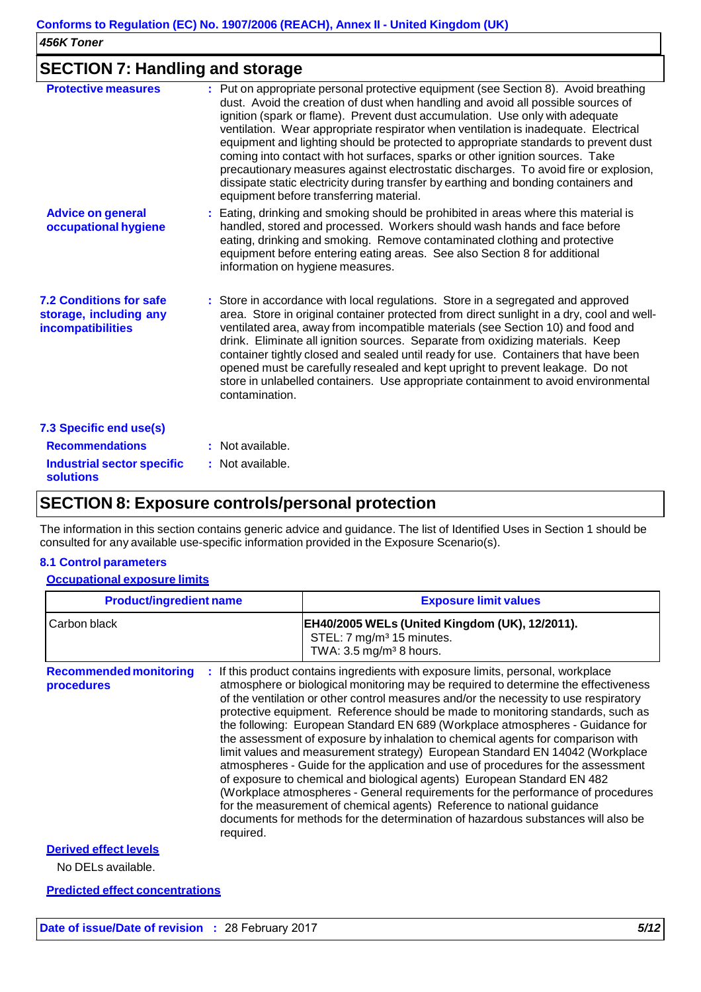### **SECTION 7: Handling and storage**

| <b>Protective measures</b>                                                           | : Put on appropriate personal protective equipment (see Section 8). Avoid breathing<br>dust. Avoid the creation of dust when handling and avoid all possible sources of<br>ignition (spark or flame). Prevent dust accumulation. Use only with adequate<br>ventilation. Wear appropriate respirator when ventilation is inadequate. Electrical<br>equipment and lighting should be protected to appropriate standards to prevent dust<br>coming into contact with hot surfaces, sparks or other ignition sources. Take<br>precautionary measures against electrostatic discharges. To avoid fire or explosion,<br>dissipate static electricity during transfer by earthing and bonding containers and<br>equipment before transferring material. |
|--------------------------------------------------------------------------------------|--------------------------------------------------------------------------------------------------------------------------------------------------------------------------------------------------------------------------------------------------------------------------------------------------------------------------------------------------------------------------------------------------------------------------------------------------------------------------------------------------------------------------------------------------------------------------------------------------------------------------------------------------------------------------------------------------------------------------------------------------|
| <b>Advice on general</b><br>occupational hygiene                                     | : Eating, drinking and smoking should be prohibited in areas where this material is<br>handled, stored and processed. Workers should wash hands and face before<br>eating, drinking and smoking. Remove contaminated clothing and protective<br>equipment before entering eating areas. See also Section 8 for additional<br>information on hygiene measures.                                                                                                                                                                                                                                                                                                                                                                                    |
| <b>7.2 Conditions for safe</b><br>storage, including any<br><b>incompatibilities</b> | : Store in accordance with local regulations. Store in a segregated and approved<br>area. Store in original container protected from direct sunlight in a dry, cool and well-<br>ventilated area, away from incompatible materials (see Section 10) and food and<br>drink. Eliminate all ignition sources. Separate from oxidizing materials. Keep<br>container tightly closed and sealed until ready for use. Containers that have been<br>opened must be carefully resealed and kept upright to prevent leakage. Do not<br>store in unlabelled containers. Use appropriate containment to avoid environmental<br>contamination.                                                                                                                |
| 7.3 Specific end use(s)                                                              |                                                                                                                                                                                                                                                                                                                                                                                                                                                                                                                                                                                                                                                                                                                                                  |
| <b>Recommendations</b>                                                               | : Not available.                                                                                                                                                                                                                                                                                                                                                                                                                                                                                                                                                                                                                                                                                                                                 |
| <b>Industrial sector specific</b><br><b>solutions</b>                                | : Not available.                                                                                                                                                                                                                                                                                                                                                                                                                                                                                                                                                                                                                                                                                                                                 |
|                                                                                      |                                                                                                                                                                                                                                                                                                                                                                                                                                                                                                                                                                                                                                                                                                                                                  |

### **SECTION 8: Exposure controls/personal protection**

The information in this section contains generic advice and guidance. The list of Identified Uses in Section 1 should be consulted for any available use-specific information provided in the Exposure Scenario(s).

### **8.1 Control parameters**

### **Occupational exposure limits**

| <b>Product/ingredient name</b>                           | <b>Exposure limit values</b>                                                                                                                                                                                                                                                                                                                                                                                                                                                                                                                                                                                                                                                                                                                                                                                                                                                                                                                                                                                          |  |  |
|----------------------------------------------------------|-----------------------------------------------------------------------------------------------------------------------------------------------------------------------------------------------------------------------------------------------------------------------------------------------------------------------------------------------------------------------------------------------------------------------------------------------------------------------------------------------------------------------------------------------------------------------------------------------------------------------------------------------------------------------------------------------------------------------------------------------------------------------------------------------------------------------------------------------------------------------------------------------------------------------------------------------------------------------------------------------------------------------|--|--|
| Carbon black                                             | EH40/2005 WELs (United Kingdom (UK), 12/2011).<br>STEL: 7 mg/m <sup>3</sup> 15 minutes.<br>TWA: $3.5 \text{ mg/m}^3$ 8 hours.                                                                                                                                                                                                                                                                                                                                                                                                                                                                                                                                                                                                                                                                                                                                                                                                                                                                                         |  |  |
| <b>Recommended monitoring</b><br>procedures<br>required. | : If this product contains ingredients with exposure limits, personal, workplace<br>atmosphere or biological monitoring may be required to determine the effectiveness<br>of the ventilation or other control measures and/or the necessity to use respiratory<br>protective equipment. Reference should be made to monitoring standards, such as<br>the following: European Standard EN 689 (Workplace atmospheres - Guidance for<br>the assessment of exposure by inhalation to chemical agents for comparison with<br>limit values and measurement strategy) European Standard EN 14042 (Workplace<br>atmospheres - Guide for the application and use of procedures for the assessment<br>of exposure to chemical and biological agents) European Standard EN 482<br>(Workplace atmospheres - General requirements for the performance of procedures<br>for the measurement of chemical agents) Reference to national guidance<br>documents for methods for the determination of hazardous substances will also be |  |  |
| <b>Derived effect levels</b>                             |                                                                                                                                                                                                                                                                                                                                                                                                                                                                                                                                                                                                                                                                                                                                                                                                                                                                                                                                                                                                                       |  |  |
| No DELs available.                                       |                                                                                                                                                                                                                                                                                                                                                                                                                                                                                                                                                                                                                                                                                                                                                                                                                                                                                                                                                                                                                       |  |  |
| <b>Predicted effect concentrations</b>                   |                                                                                                                                                                                                                                                                                                                                                                                                                                                                                                                                                                                                                                                                                                                                                                                                                                                                                                                                                                                                                       |  |  |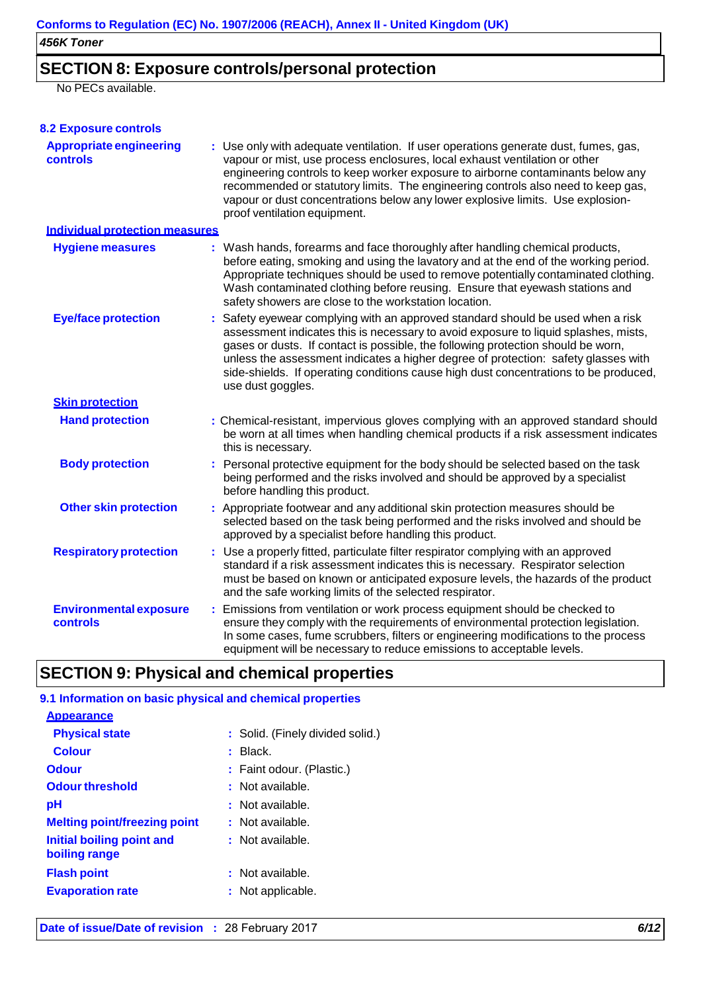## **SECTION 8: Exposure controls/personal protection**

No PECs available.

| <b>8.2 Exposure controls</b>               |                                                                                                                                                                                                                                                                                                                                                                                                                                                               |
|--------------------------------------------|---------------------------------------------------------------------------------------------------------------------------------------------------------------------------------------------------------------------------------------------------------------------------------------------------------------------------------------------------------------------------------------------------------------------------------------------------------------|
| <b>Appropriate engineering</b><br>controls | : Use only with adequate ventilation. If user operations generate dust, fumes, gas,<br>vapour or mist, use process enclosures, local exhaust ventilation or other<br>engineering controls to keep worker exposure to airborne contaminants below any<br>recommended or statutory limits. The engineering controls also need to keep gas,<br>vapour or dust concentrations below any lower explosive limits. Use explosion-<br>proof ventilation equipment.    |
| <b>Individual protection measures</b>      |                                                                                                                                                                                                                                                                                                                                                                                                                                                               |
| <b>Hygiene measures</b>                    | : Wash hands, forearms and face thoroughly after handling chemical products,<br>before eating, smoking and using the lavatory and at the end of the working period.<br>Appropriate techniques should be used to remove potentially contaminated clothing.<br>Wash contaminated clothing before reusing. Ensure that eyewash stations and<br>safety showers are close to the workstation location.                                                             |
| <b>Eye/face protection</b>                 | : Safety eyewear complying with an approved standard should be used when a risk<br>assessment indicates this is necessary to avoid exposure to liquid splashes, mists,<br>gases or dusts. If contact is possible, the following protection should be worn,<br>unless the assessment indicates a higher degree of protection: safety glasses with<br>side-shields. If operating conditions cause high dust concentrations to be produced,<br>use dust goggles. |
| <b>Skin protection</b>                     |                                                                                                                                                                                                                                                                                                                                                                                                                                                               |
| <b>Hand protection</b>                     | : Chemical-resistant, impervious gloves complying with an approved standard should<br>be worn at all times when handling chemical products if a risk assessment indicates<br>this is necessary.                                                                                                                                                                                                                                                               |
| <b>Body protection</b>                     | : Personal protective equipment for the body should be selected based on the task<br>being performed and the risks involved and should be approved by a specialist<br>before handling this product.                                                                                                                                                                                                                                                           |
| <b>Other skin protection</b>               | : Appropriate footwear and any additional skin protection measures should be<br>selected based on the task being performed and the risks involved and should be<br>approved by a specialist before handling this product.                                                                                                                                                                                                                                     |
| <b>Respiratory protection</b>              | : Use a properly fitted, particulate filter respirator complying with an approved<br>standard if a risk assessment indicates this is necessary. Respirator selection<br>must be based on known or anticipated exposure levels, the hazards of the product<br>and the safe working limits of the selected respirator.                                                                                                                                          |
| <b>Environmental exposure</b><br>controls  | : Emissions from ventilation or work process equipment should be checked to<br>ensure they comply with the requirements of environmental protection legislation.<br>In some cases, fume scrubbers, filters or engineering modifications to the process<br>equipment will be necessary to reduce emissions to acceptable levels.                                                                                                                               |

## **SECTION 9: Physical and chemical properties**

| 9.1 Information on basic physical and chemical properties |                                  |  |  |  |  |  |
|-----------------------------------------------------------|----------------------------------|--|--|--|--|--|
| <b>Appearance</b>                                         |                                  |  |  |  |  |  |
| <b>Physical state</b>                                     | : Solid. (Finely divided solid.) |  |  |  |  |  |
| <b>Colour</b>                                             | Black.                           |  |  |  |  |  |
| <b>Odour</b>                                              | : Faint odour. (Plastic.)        |  |  |  |  |  |
| <b>Odour threshold</b>                                    | : Not available.                 |  |  |  |  |  |
| рH                                                        | : Not available.                 |  |  |  |  |  |
| <b>Melting point/freezing point</b>                       | : Not available.                 |  |  |  |  |  |
| <b>Initial boiling point and</b><br>boiling range         | : Not available.                 |  |  |  |  |  |
| <b>Flash point</b>                                        | : Not available.                 |  |  |  |  |  |
| <b>Evaporation rate</b>                                   | : Not applicable.                |  |  |  |  |  |
|                                                           |                                  |  |  |  |  |  |

**Date of issue/Date of revision :** 28 February 2017 *6/12*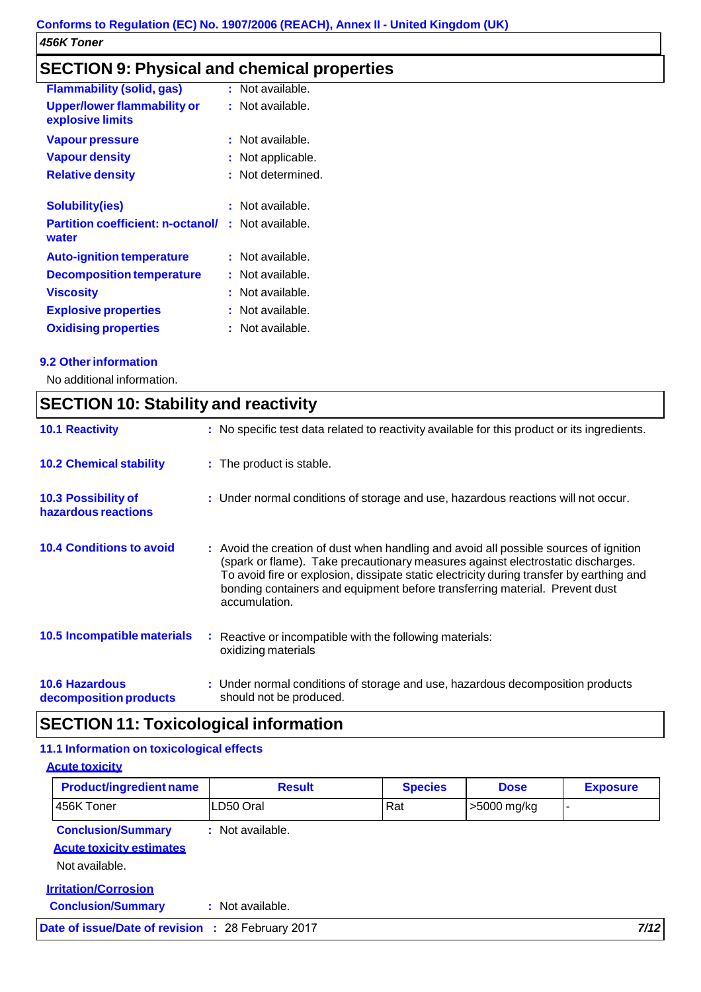## **SECTION 9: Physical and chemical properties**

| <b>Flammability (solid, gas)</b>         | : Not available. |
|------------------------------------------|------------------|
| <b>Upper/lower flammability or</b>       | : Not available. |
| explosive limits                         |                  |
| Vapour pressure                          | : Not available. |
| <b>Vapour density</b>                    | Not applicable.  |
| <b>Relative density</b>                  | Not determined.  |
|                                          |                  |
| <b>Solubility(ies)</b>                   | Not available.   |
| <b>Partition coefficient: n-octanol/</b> | : Not available. |
| water                                    |                  |
| <b>Auto-ignition temperature</b>         | : Not available. |
| <b>Decomposition temperature</b>         | : Not available. |
| <b>Viscosity</b>                         | Not available.   |
| <b>Explosive properties</b>              | Not available.   |
| <b>Oxidising properties</b>              | Not available.   |
|                                          |                  |

### **9.2 Other information**

No additional information.

| <b>SECTION 10: Stability and reactivity</b>     |  |                                                                                                                                                                                                                                                                                                                                                                      |  |
|-------------------------------------------------|--|----------------------------------------------------------------------------------------------------------------------------------------------------------------------------------------------------------------------------------------------------------------------------------------------------------------------------------------------------------------------|--|
| <b>10.1 Reactivity</b>                          |  | : No specific test data related to reactivity available for this product or its ingredients.                                                                                                                                                                                                                                                                         |  |
| <b>10.2 Chemical stability</b>                  |  | : The product is stable.                                                                                                                                                                                                                                                                                                                                             |  |
| 10.3 Possibility of<br>hazardous reactions      |  | : Under normal conditions of storage and use, hazardous reactions will not occur.                                                                                                                                                                                                                                                                                    |  |
| <b>10.4 Conditions to avoid</b>                 |  | : Avoid the creation of dust when handling and avoid all possible sources of ignition<br>(spark or flame). Take precautionary measures against electrostatic discharges.<br>To avoid fire or explosion, dissipate static electricity during transfer by earthing and<br>bonding containers and equipment before transferring material. Prevent dust<br>accumulation. |  |
| 10.5 Incompatible materials                     |  | : Reactive or incompatible with the following materials:<br>oxidizing materials                                                                                                                                                                                                                                                                                      |  |
| <b>10.6 Hazardous</b><br>decomposition products |  | : Under normal conditions of storage and use, hazardous decomposition products<br>should not be produced.                                                                                                                                                                                                                                                            |  |

## **SECTION 11: Toxicological information**

### **11.1 Information on toxicological effects**

**Acute toxicity**

| <b>Product/ingredient name</b>                                                 | <b>Result</b>    | <b>Species</b> | <b>Dose</b> | <b>Exposure</b> |
|--------------------------------------------------------------------------------|------------------|----------------|-------------|-----------------|
| 456K Toner                                                                     | LD50 Oral        | Rat            | >5000 mg/kg | -               |
| <b>Conclusion/Summary</b><br><b>Acute toxicity estimates</b><br>Not available. | : Not available. |                |             |                 |
| <b>Irritation/Corrosion</b><br><b>Conclusion/Summary</b>                       | : Not available. |                |             |                 |
| Date of issue/Date of revision : 28 February 2017                              |                  |                |             | 7/12            |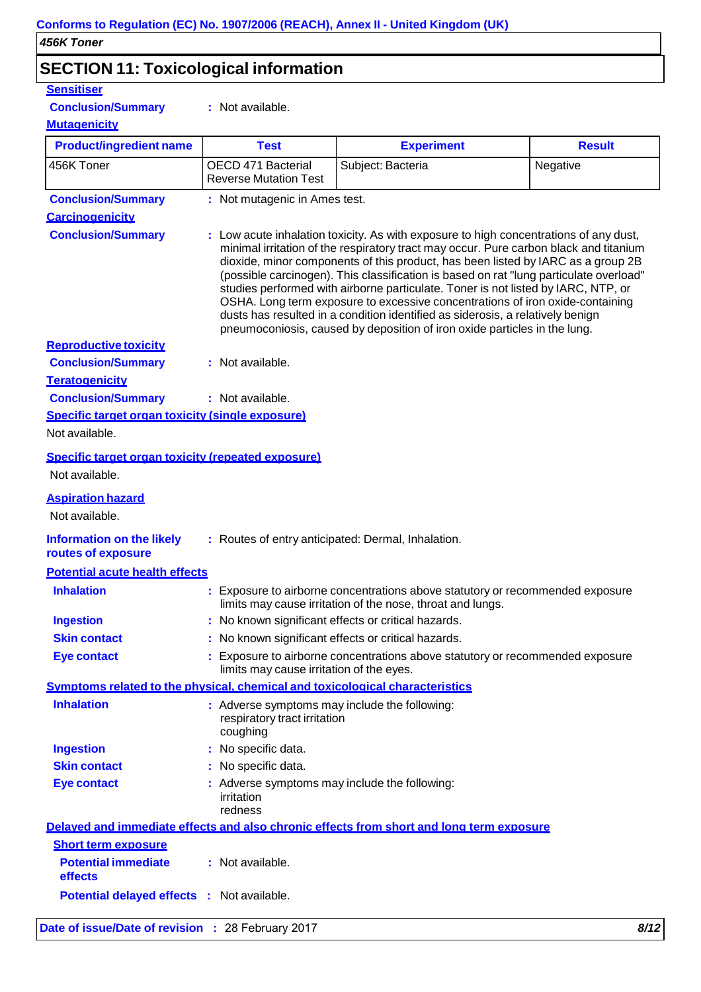## **SECTION 11: Toxicological information**

| <b>Sensitiser</b>                                                            |                                                                                                                                                                                                                                                                                                                                                                                                                                                                                                                                                                                                                                                                                                   |                                                                                                                                             |               |  |
|------------------------------------------------------------------------------|---------------------------------------------------------------------------------------------------------------------------------------------------------------------------------------------------------------------------------------------------------------------------------------------------------------------------------------------------------------------------------------------------------------------------------------------------------------------------------------------------------------------------------------------------------------------------------------------------------------------------------------------------------------------------------------------------|---------------------------------------------------------------------------------------------------------------------------------------------|---------------|--|
| <b>Conclusion/Summary</b>                                                    | : Not available.                                                                                                                                                                                                                                                                                                                                                                                                                                                                                                                                                                                                                                                                                  |                                                                                                                                             |               |  |
| <b>Mutagenicity</b>                                                          |                                                                                                                                                                                                                                                                                                                                                                                                                                                                                                                                                                                                                                                                                                   |                                                                                                                                             |               |  |
| <b>Product/ingredient name</b>                                               | <b>Test</b>                                                                                                                                                                                                                                                                                                                                                                                                                                                                                                                                                                                                                                                                                       | <b>Experiment</b>                                                                                                                           | <b>Result</b> |  |
| 456K Toner                                                                   | OECD 471 Bacterial<br><b>Reverse Mutation Test</b>                                                                                                                                                                                                                                                                                                                                                                                                                                                                                                                                                                                                                                                | Subject: Bacteria                                                                                                                           | Negative      |  |
| <b>Conclusion/Summary</b>                                                    | : Not mutagenic in Ames test.                                                                                                                                                                                                                                                                                                                                                                                                                                                                                                                                                                                                                                                                     |                                                                                                                                             |               |  |
| <b>Carcinogenicity</b>                                                       |                                                                                                                                                                                                                                                                                                                                                                                                                                                                                                                                                                                                                                                                                                   |                                                                                                                                             |               |  |
| <b>Conclusion/Summary</b>                                                    | : Low acute inhalation toxicity. As with exposure to high concentrations of any dust,<br>minimal irritation of the respiratory tract may occur. Pure carbon black and titanium<br>dioxide, minor components of this product, has been listed by IARC as a group 2B<br>(possible carcinogen). This classification is based on rat "lung particulate overload"<br>studies performed with airborne particulate. Toner is not listed by IARC, NTP, or<br>OSHA. Long term exposure to excessive concentrations of iron oxide-containing<br>dusts has resulted in a condition identified as siderosis, a relatively benign<br>pneumoconiosis, caused by deposition of iron oxide particles in the lung. |                                                                                                                                             |               |  |
| <b>Reproductive toxicity</b>                                                 |                                                                                                                                                                                                                                                                                                                                                                                                                                                                                                                                                                                                                                                                                                   |                                                                                                                                             |               |  |
| <b>Conclusion/Summary</b>                                                    | : Not available.                                                                                                                                                                                                                                                                                                                                                                                                                                                                                                                                                                                                                                                                                  |                                                                                                                                             |               |  |
| <b>Teratogenicity</b>                                                        |                                                                                                                                                                                                                                                                                                                                                                                                                                                                                                                                                                                                                                                                                                   |                                                                                                                                             |               |  |
| <b>Conclusion/Summary</b>                                                    | : Not available.                                                                                                                                                                                                                                                                                                                                                                                                                                                                                                                                                                                                                                                                                  |                                                                                                                                             |               |  |
| Specific target organ toxicity (single exposure)                             |                                                                                                                                                                                                                                                                                                                                                                                                                                                                                                                                                                                                                                                                                                   |                                                                                                                                             |               |  |
| Not available.                                                               |                                                                                                                                                                                                                                                                                                                                                                                                                                                                                                                                                                                                                                                                                                   |                                                                                                                                             |               |  |
| Specific target organ toxicity (repeated exposure)<br>Not available.         |                                                                                                                                                                                                                                                                                                                                                                                                                                                                                                                                                                                                                                                                                                   |                                                                                                                                             |               |  |
| <b>Aspiration hazard</b>                                                     |                                                                                                                                                                                                                                                                                                                                                                                                                                                                                                                                                                                                                                                                                                   |                                                                                                                                             |               |  |
| Not available.                                                               |                                                                                                                                                                                                                                                                                                                                                                                                                                                                                                                                                                                                                                                                                                   |                                                                                                                                             |               |  |
| <b>Information on the likely</b><br>routes of exposure                       |                                                                                                                                                                                                                                                                                                                                                                                                                                                                                                                                                                                                                                                                                                   | : Routes of entry anticipated: Dermal, Inhalation.                                                                                          |               |  |
| <b>Potential acute health effects</b>                                        |                                                                                                                                                                                                                                                                                                                                                                                                                                                                                                                                                                                                                                                                                                   |                                                                                                                                             |               |  |
| <b>Inhalation</b>                                                            |                                                                                                                                                                                                                                                                                                                                                                                                                                                                                                                                                                                                                                                                                                   | : Exposure to airborne concentrations above statutory or recommended exposure<br>limits may cause irritation of the nose, throat and lungs. |               |  |
| <b>Ingestion</b>                                                             | : No known significant effects or critical hazards.                                                                                                                                                                                                                                                                                                                                                                                                                                                                                                                                                                                                                                               |                                                                                                                                             |               |  |
| <b>Skin contact</b>                                                          | : No known significant effects or critical hazards.                                                                                                                                                                                                                                                                                                                                                                                                                                                                                                                                                                                                                                               |                                                                                                                                             |               |  |
| <b>Eye contact</b>                                                           | : Exposure to airborne concentrations above statutory or recommended exposure<br>limits may cause irritation of the eyes.                                                                                                                                                                                                                                                                                                                                                                                                                                                                                                                                                                         |                                                                                                                                             |               |  |
| Symptoms related to the physical, chemical and toxicological characteristics |                                                                                                                                                                                                                                                                                                                                                                                                                                                                                                                                                                                                                                                                                                   |                                                                                                                                             |               |  |
| <b>Inhalation</b>                                                            | : Adverse symptoms may include the following:<br>respiratory tract irritation<br>coughing                                                                                                                                                                                                                                                                                                                                                                                                                                                                                                                                                                                                         |                                                                                                                                             |               |  |
| <b>Ingestion</b>                                                             | : No specific data.                                                                                                                                                                                                                                                                                                                                                                                                                                                                                                                                                                                                                                                                               |                                                                                                                                             |               |  |
| <b>Skin contact</b>                                                          | : No specific data.                                                                                                                                                                                                                                                                                                                                                                                                                                                                                                                                                                                                                                                                               |                                                                                                                                             |               |  |
| <b>Eye contact</b>                                                           | : Adverse symptoms may include the following:<br>irritation<br>redness                                                                                                                                                                                                                                                                                                                                                                                                                                                                                                                                                                                                                            |                                                                                                                                             |               |  |
|                                                                              |                                                                                                                                                                                                                                                                                                                                                                                                                                                                                                                                                                                                                                                                                                   | Delayed and immediate effects and also chronic effects from short and long term exposure                                                    |               |  |
| <b>Short term exposure</b>                                                   |                                                                                                                                                                                                                                                                                                                                                                                                                                                                                                                                                                                                                                                                                                   |                                                                                                                                             |               |  |
| <b>Potential immediate</b><br>effects                                        | : Not available.                                                                                                                                                                                                                                                                                                                                                                                                                                                                                                                                                                                                                                                                                  |                                                                                                                                             |               |  |
| <b>Potential delayed effects : Not available.</b>                            |                                                                                                                                                                                                                                                                                                                                                                                                                                                                                                                                                                                                                                                                                                   |                                                                                                                                             |               |  |
| Date of issue/Date of revision : 28 February 2017                            |                                                                                                                                                                                                                                                                                                                                                                                                                                                                                                                                                                                                                                                                                                   |                                                                                                                                             | 8/12          |  |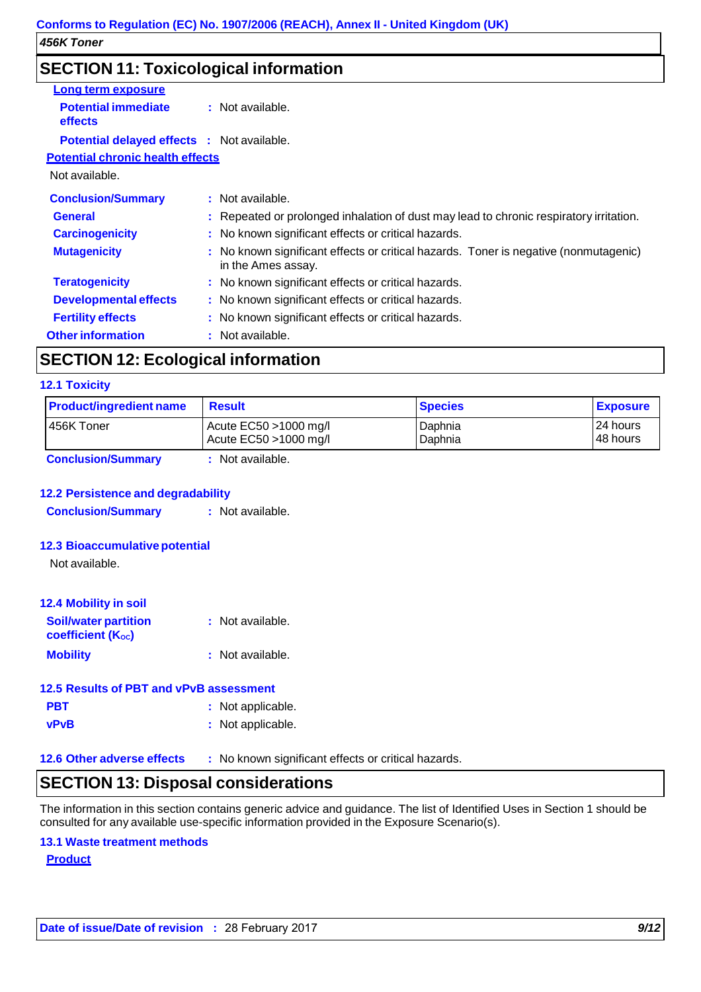## **SECTION 11: Toxicological information**

| <u>Long term exposure</u>                         |                                                                                                            |  |  |
|---------------------------------------------------|------------------------------------------------------------------------------------------------------------|--|--|
| <b>Potential immediate</b><br><b>effects</b>      | : Not available.                                                                                           |  |  |
| <b>Potential delayed effects : Not available.</b> |                                                                                                            |  |  |
| <b>Potential chronic health effects</b>           |                                                                                                            |  |  |
| Not available.                                    |                                                                                                            |  |  |
| <b>Conclusion/Summary</b>                         | : Not available.                                                                                           |  |  |
| <b>General</b>                                    | : Repeated or prolonged inhalation of dust may lead to chronic respiratory irritation.                     |  |  |
| <b>Carcinogenicity</b>                            | : No known significant effects or critical hazards.                                                        |  |  |
| <b>Mutagenicity</b>                               | : No known significant effects or critical hazards. Toner is negative (nonmutagenic)<br>in the Ames assay. |  |  |
| <b>Teratogenicity</b>                             | : No known significant effects or critical hazards.                                                        |  |  |
| <b>Developmental effects</b>                      | : No known significant effects or critical hazards.                                                        |  |  |
| <b>Fertility effects</b>                          | : No known significant effects or critical hazards.                                                        |  |  |
| <b>Other information</b>                          | : Not available.                                                                                           |  |  |

## **SECTION 12: Ecological information**

### **12.1 Toxicity**

| <b>Product/ingredient name</b> | <b>Result</b>                                     | <b>Species</b>     | <b>Exposure</b>      |
|--------------------------------|---------------------------------------------------|--------------------|----------------------|
| 456K Toner                     | Acute $EC50 > 1000$ mg/l<br>Acute EC50 >1000 mg/l | Daphnia<br>Daphnia | 24 hours<br>48 hours |
| Conclusion/Summary             | Alot available                                    |                    |                      |

**Conclusion/Summary :** Not available.

#### **12.2 Persistence and degradability**

**Conclusion/Summary : Not available.** 

### **12.3 Bioaccumulative potential**

Not available.

| <b>12.4 Mobility in soil</b>                     |                  |
|--------------------------------------------------|------------------|
| <b>Soil/water partition</b><br>coefficient (Koc) | : Not available. |
| <b>Mobility</b>                                  | : Not available. |

| 12.5 Results of PBT and vPvB assessment |                   |  |  |  |
|-----------------------------------------|-------------------|--|--|--|
| <b>PBT</b>                              | : Not applicable. |  |  |  |
| <b>vPvB</b>                             | : Not applicable. |  |  |  |

**12.6 Other adverse effects :** No known significant effects or critical hazards.

### **SECTION 13: Disposal considerations**

The information in this section contains generic advice and guidance. The list of Identified Uses in Section 1 should be consulted for any available use-specific information provided in the Exposure Scenario(s).

### **13.1 Waste treatment methods**

**Product**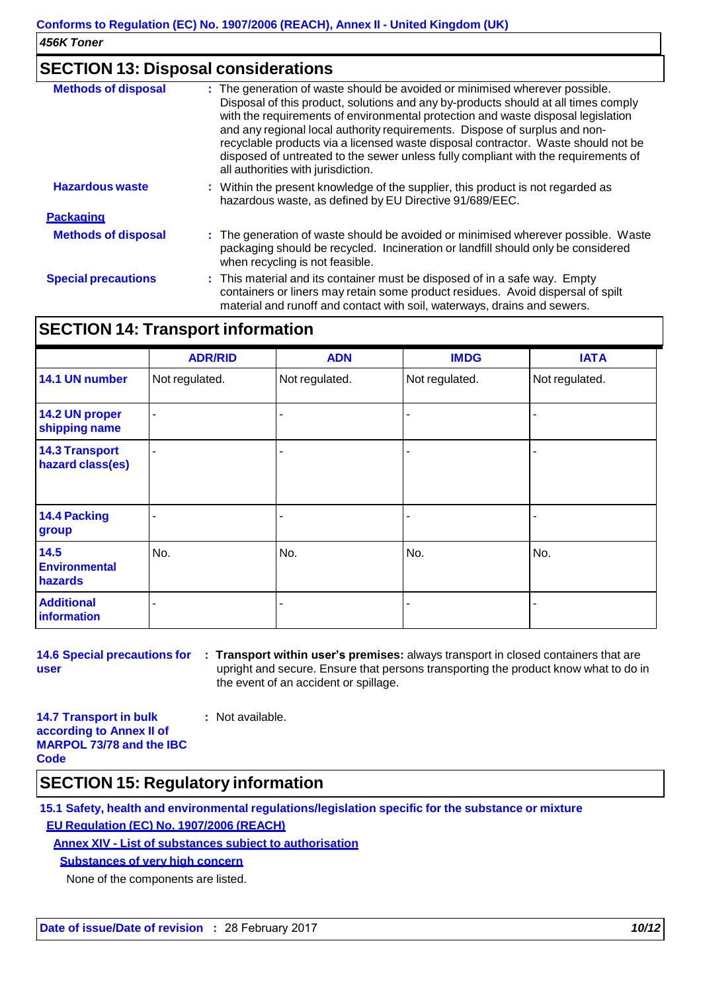### **SECTION 13: Disposal considerations**

| <b>Methods of disposal</b> | : The generation of waste should be avoided or minimised wherever possible.<br>Disposal of this product, solutions and any by-products should at all times comply<br>with the requirements of environmental protection and waste disposal legislation<br>and any regional local authority requirements. Dispose of surplus and non-<br>recyclable products via a licensed waste disposal contractor. Waste should not be<br>disposed of untreated to the sewer unless fully compliant with the requirements of<br>all authorities with jurisdiction. |
|----------------------------|------------------------------------------------------------------------------------------------------------------------------------------------------------------------------------------------------------------------------------------------------------------------------------------------------------------------------------------------------------------------------------------------------------------------------------------------------------------------------------------------------------------------------------------------------|
| <b>Hazardous waste</b>     | : Within the present knowledge of the supplier, this product is not regarded as<br>hazardous waste, as defined by EU Directive 91/689/EEC.                                                                                                                                                                                                                                                                                                                                                                                                           |
| <b>Packaging</b>           |                                                                                                                                                                                                                                                                                                                                                                                                                                                                                                                                                      |
| <b>Methods of disposal</b> | : The generation of waste should be avoided or minimised wherever possible. Waste<br>packaging should be recycled. Incineration or landfill should only be considered<br>when recycling is not feasible.                                                                                                                                                                                                                                                                                                                                             |
| <b>Special precautions</b> | : This material and its container must be disposed of in a safe way. Empty<br>containers or liners may retain some product residues. Avoid dispersal of spilt<br>material and runoff and contact with soil, waterways, drains and sewers.                                                                                                                                                                                                                                                                                                            |

## **SECTION 14: Transport information**

|                                           | <b>ADR/RID</b> | <b>ADN</b>     | <b>IMDG</b>    | <b>IATA</b>    |
|-------------------------------------------|----------------|----------------|----------------|----------------|
| 14.1 UN number                            | Not regulated. | Not regulated. | Not regulated. | Not regulated. |
| 14.2 UN proper<br>shipping name           | ۰              |                |                |                |
| <b>14.3 Transport</b><br>hazard class(es) |                |                |                |                |
| 14.4 Packing<br>group                     |                |                |                |                |
| 14.5<br><b>Environmental</b><br>hazards   | No.            | No.            | No.            | No.            |
| <b>Additional</b><br>information          |                |                |                |                |

**user**

**14.6 Special precautions for : Transport within user's premises:** always transport in closed containers that are upright and secure. Ensure that persons transporting the product know what to do in the event of an accident or spillage.

**14.7 Transport in bulk according to Annex II of MARPOL 73/78 and the IBC Code :** Not available.

## **SECTION 15: Regulatory information**

**15.1 Safety, health and environmental regulations/legislation specific for the substance or mixture EU Regulation (EC) No. 1907/2006 (REACH)**

### **Annex XIV - List of substances subject to authorisation**

**Substances of very high concern**

None of the components are listed.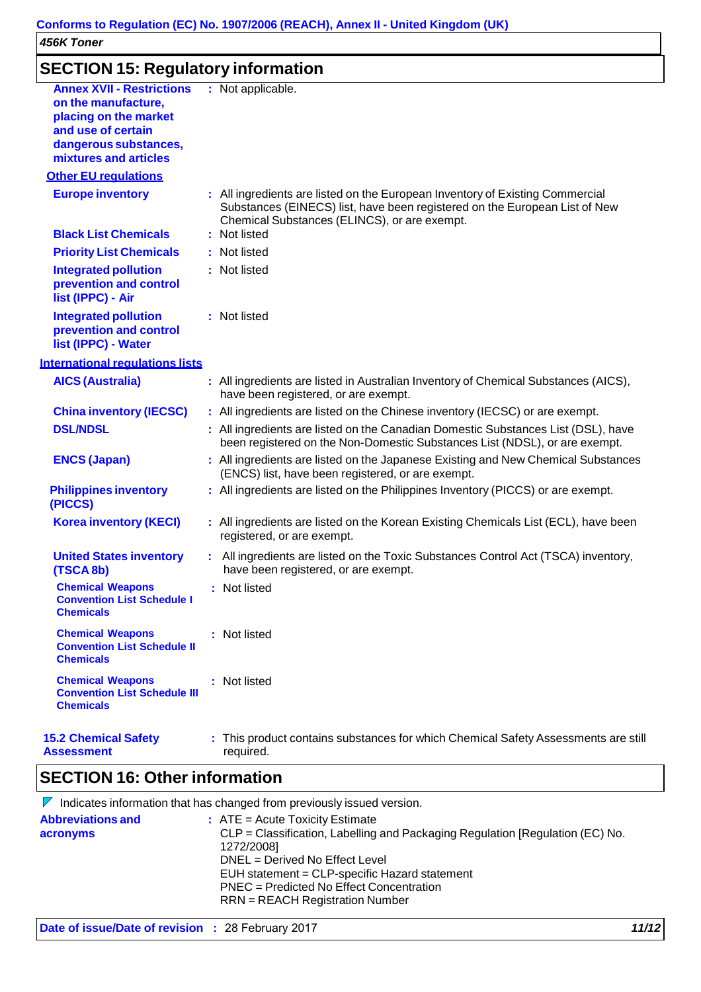## **SECTION 15: Regulatory information**

| <b>Annex XVII - Restrictions</b><br>on the manufacture,<br>placing on the market<br>and use of certain<br>dangerous substances,<br>mixtures and articles | : Not applicable.                                                                                                                                                                                           |  |
|----------------------------------------------------------------------------------------------------------------------------------------------------------|-------------------------------------------------------------------------------------------------------------------------------------------------------------------------------------------------------------|--|
| <b>Other EU requlations</b>                                                                                                                              |                                                                                                                                                                                                             |  |
| <b>Europe inventory</b>                                                                                                                                  | : All ingredients are listed on the European Inventory of Existing Commercial<br>Substances (EINECS) list, have been registered on the European List of New<br>Chemical Substances (ELINCS), or are exempt. |  |
| <b>Black List Chemicals</b>                                                                                                                              | : Not listed                                                                                                                                                                                                |  |
| <b>Priority List Chemicals</b>                                                                                                                           | : Not listed                                                                                                                                                                                                |  |
| <b>Integrated pollution</b><br>prevention and control<br>list (IPPC) - Air                                                                               | : Not listed                                                                                                                                                                                                |  |
| <b>Integrated pollution</b><br>prevention and control<br>list (IPPC) - Water                                                                             | : Not listed                                                                                                                                                                                                |  |
| <b>International requiations lists</b>                                                                                                                   |                                                                                                                                                                                                             |  |
| <b>AICS (Australia)</b>                                                                                                                                  | : All ingredients are listed in Australian Inventory of Chemical Substances (AICS),<br>have been registered, or are exempt.                                                                                 |  |
| <b>China inventory (IECSC)</b>                                                                                                                           | : All ingredients are listed on the Chinese inventory (IECSC) or are exempt.                                                                                                                                |  |
| <b>DSL/NDSL</b>                                                                                                                                          | : All ingredients are listed on the Canadian Domestic Substances List (DSL), have<br>been registered on the Non-Domestic Substances List (NDSL), or are exempt.                                             |  |
| <b>ENCS (Japan)</b>                                                                                                                                      | : All ingredients are listed on the Japanese Existing and New Chemical Substances<br>(ENCS) list, have been registered, or are exempt.                                                                      |  |
| <b>Philippines inventory</b><br>(PICCS)                                                                                                                  | : All ingredients are listed on the Philippines Inventory (PICCS) or are exempt.                                                                                                                            |  |
| <b>Korea inventory (KECI)</b>                                                                                                                            | : All ingredients are listed on the Korean Existing Chemicals List (ECL), have been<br>registered, or are exempt.                                                                                           |  |
| <b>United States inventory</b><br>(TSCA 8b)                                                                                                              | : All ingredients are listed on the Toxic Substances Control Act (TSCA) inventory,<br>have been registered, or are exempt.                                                                                  |  |
| <b>Chemical Weapons</b><br><b>Convention List Schedule I</b><br><b>Chemicals</b>                                                                         | : Not listed                                                                                                                                                                                                |  |
| <b>Chemical Weapons</b><br><b>Convention List Schedule II</b><br><b>Chemicals</b>                                                                        | : Not listed                                                                                                                                                                                                |  |
| <b>Chemical Weapons</b><br><b>Convention List Schedule III</b><br><b>Chemicals</b>                                                                       | : Not listed                                                                                                                                                                                                |  |
| <b>15.2 Chemical Safety</b><br><b>Assessment</b>                                                                                                         | : This product contains substances for which Chemical Safety Assessments are still<br>required.                                                                                                             |  |

## **SECTION 16: Other information**

|                                      | $V$ Indicates information that has changed from previously issued version.                                                                                                                                                                                                                           |
|--------------------------------------|------------------------------------------------------------------------------------------------------------------------------------------------------------------------------------------------------------------------------------------------------------------------------------------------------|
| <b>Abbreviations and</b><br>acronyms | $:$ ATE = Acute Toxicity Estimate<br>CLP = Classification, Labelling and Packaging Regulation [Regulation (EC) No.<br>1272/2008]<br>DNEL = Derived No Effect Level<br>EUH statement = CLP-specific Hazard statement<br>PNEC = Predicted No Effect Concentration<br>$RRN = REACH$ Registration Number |
|                                      |                                                                                                                                                                                                                                                                                                      |